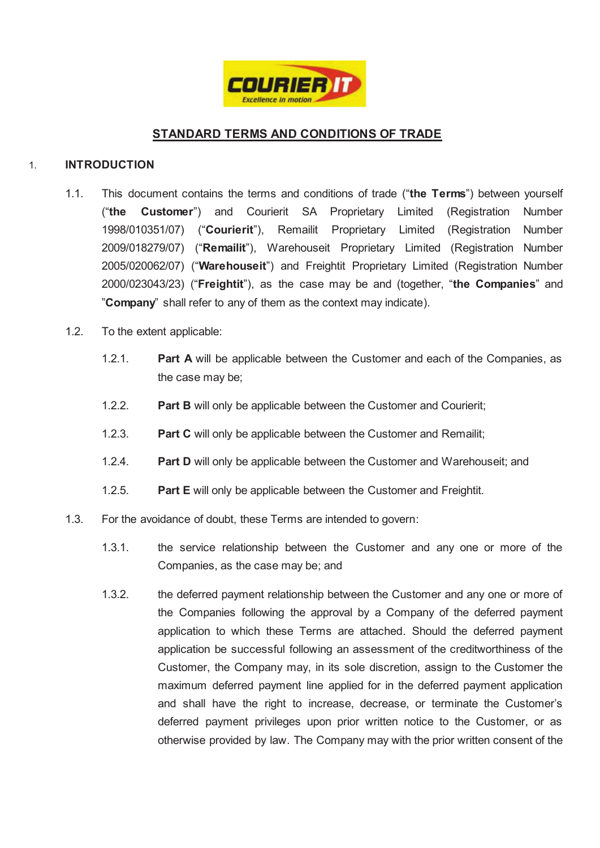

# **STANDARD TERMS AND CONDITIONS OF TRADE**

# 1. **INTRODUCTION**

- 1.1. This document contains the terms and conditions of trade ("**the Terms**") between yourself ("**the Customer**") and Courierit SA Proprietary Limited (Registration Number 1998/010351/07) ("**Courierit**"), Remailit Proprietary Limited (Registration Number 2009/018279/07) ("**Remailit**"), Warehouseit Proprietary Limited (Registration Number 2005/020062/07) ("**Warehouseit**") and Freightit Proprietary Limited (Registration Number 2000/023043/23) ("**Freightit**"), as the case may be and (together, "**the Companies**" and "**Company**" shall refer to any of them as the context may indicate).
- 1.2. To the extent applicable:
	- 1.2.1. **Part A** will be applicable between the Customer and each of the Companies, as the case may be;
	- 1.2.2. **Part B** will only be applicable between the Customer and Courierit;
	- 1.2.3. **Part C** will only be applicable between the Customer and Remailit;
	- 1.2.4. **Part D** will only be applicable between the Customer and Warehouseit; and
	- 1.2.5. **Part E** will only be applicable between the Customer and Freightit.
- 1.3. For the avoidance of doubt, these Terms are intended to govern:
	- 1.3.1. the service relationship between the Customer and any one or more of the Companies, as the case may be; and
	- 1.3.2. the deferred payment relationship between the Customer and any one or more of the Companies following the approval by a Company of the deferred payment application to which these Terms are attached. Should the deferred payment application be successful following an assessment of the creditworthiness of the Customer, the Company may, in its sole discretion, assign to the Customer the maximum deferred payment line applied for in the deferred payment application and shall have the right to increase, decrease, or terminate the Customer's deferred payment privileges upon prior written notice to the Customer, or as otherwise provided by law. The Company may with the prior written consent of the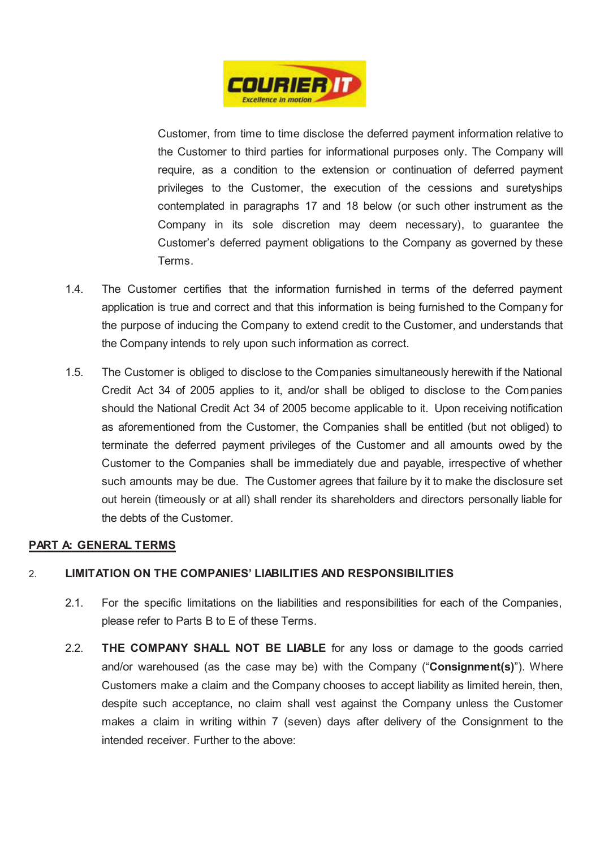

Customer, from time to time disclose the deferred payment information relative to the Customer to third parties for informational purposes only. The Company will require, as a condition to the extension or continuation of deferred payment privileges to the Customer, the execution of the cessions and suretyships contemplated in paragraphs 17 and 18 below (or such other instrument as the Company in its sole discretion may deem necessary), to guarantee the Customer's deferred payment obligations to the Company as governed by these Terms.

- 1.4. The Customer certifies that the information furnished in terms of the deferred payment application is true and correct and that this information is being furnished to the Company for the purpose of inducing the Company to extend credit to the Customer, and understands that the Company intends to rely upon such information as correct.
- 1.5. The Customer is obliged to disclose to the Companies simultaneously herewith if the National Credit Act 34 of 2005 applies to it, and/or shall be obliged to disclose to the Companies should the National Credit Act 34 of 2005 become applicable to it. Upon receiving notification as aforementioned from the Customer, the Companies shall be entitled (but not obliged) to terminate the deferred payment privileges of the Customer and all amounts owed by the Customer to the Companies shall be immediately due and payable, irrespective of whether such amounts may be due. The Customer agrees that failure by it to make the disclosure set out herein (timeously or at all) shall render its shareholders and directors personally liable for the debts of the Customer.

# **PART A: GENERAL TERMS**

# 2. **LIMITATION ON THE COMPANIES' LIABILITIES AND RESPONSIBILITIES**

- 2.1. For the specific limitations on the liabilities and responsibilities for each of the Companies, please refer to Parts B to E of these Terms.
- 2.2. **THE COMPANY SHALL NOT BE LIABLE** for any loss or damage to the goods carried and/or warehoused (as the case may be) with the Company ("**Consignment(s)**"). Where Customers make a claim and the Company chooses to accept liability as limited herein, then, despite such acceptance, no claim shall vest against the Company unless the Customer makes a claim in writing within 7 (seven) days after delivery of the Consignment to the intended receiver. Further to the above: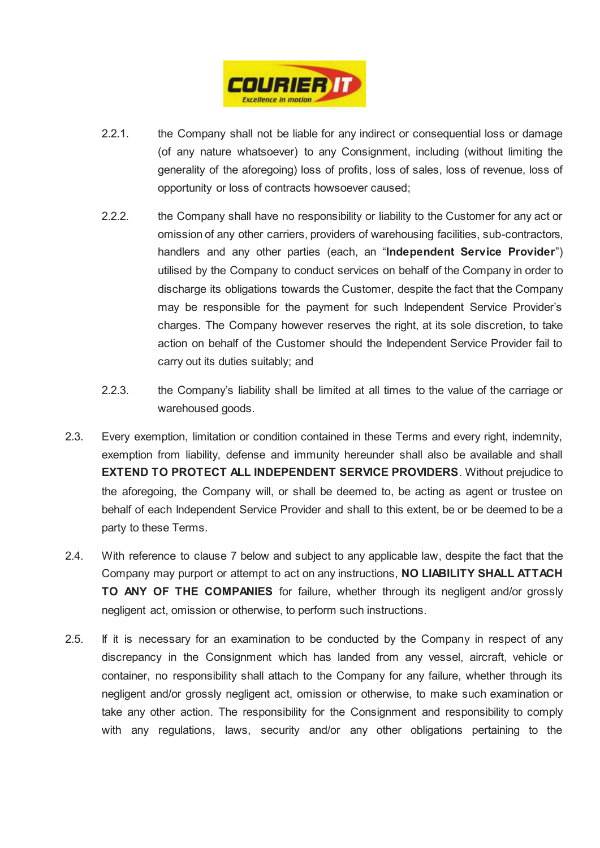

- 2.2.1. the Company shall not be liable for any indirect or consequential loss or damage (of any nature whatsoever) to any Consignment, including (without limiting the generality of the aforegoing) loss of profits, loss of sales, loss of revenue, loss of opportunity or loss of contracts howsoever caused;
- 2.2.2. the Company shall have no responsibility or liability to the Customer for any act or omission of any other carriers, providers of warehousing facilities, sub-contractors, handlers and any other parties (each, an "**Independent Service Provider**") utilised by the Company to conduct services on behalf of the Company in order to discharge its obligations towards the Customer, despite the fact that the Company may be responsible for the payment for such Independent Service Provider's charges. The Company however reserves the right, at its sole discretion, to take action on behalf of the Customer should the Independent Service Provider fail to carry out its duties suitably; and
- 2.2.3. the Company's liability shall be limited at all times to the value of the carriage or warehoused goods.
- 2.3. Every exemption, limitation or condition contained in these Terms and every right, indemnity, exemption from liability, defense and immunity hereunder shall also be available and shall **EXTEND TO PROTECT ALL INDEPENDENT SERVICE PROVIDERS**. Without prejudice to the aforegoing, the Company will, or shall be deemed to, be acting as agent or trustee on behalf of each Independent Service Provider and shall to this extent, be or be deemed to be a party to these Terms.
- 2.4. With reference to clause 7 below and subject to any applicable law, despite the fact that the Company may purport or attempt to act on any instructions, **NO LIABILITY SHALL ATTACH TO ANY OF THE COMPANIES** for failure, whether through its negligent and/or grossly negligent act, omission or otherwise, to perform such instructions.
- 2.5. If it is necessary for an examination to be conducted by the Company in respect of any discrepancy in the Consignment which has landed from any vessel, aircraft, vehicle or container, no responsibility shall attach to the Company for any failure, whether through its negligent and/or grossly negligent act, omission or otherwise, to make such examination or take any other action. The responsibility for the Consignment and responsibility to comply with any regulations, laws, security and/or any other obligations pertaining to the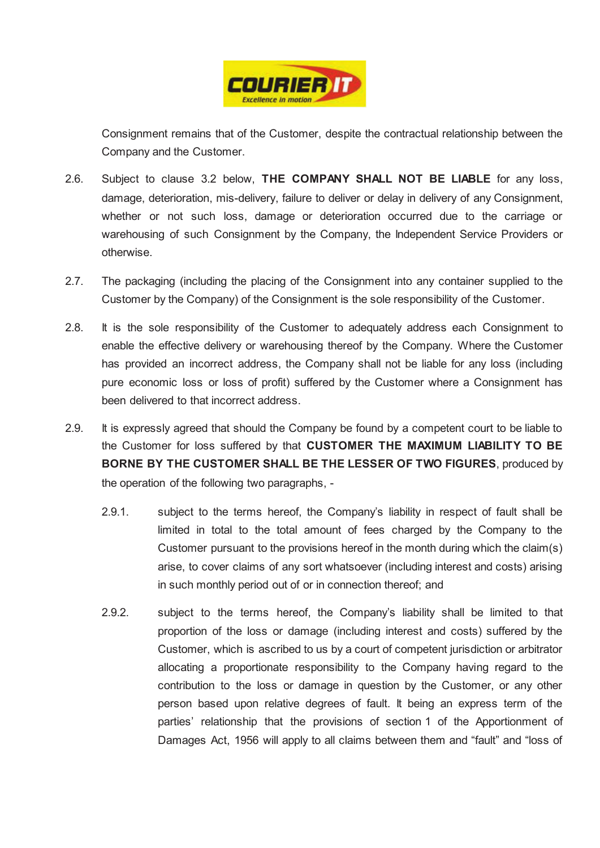

Consignment remains that of the Customer, despite the contractual relationship between the Company and the Customer.

- 2.6. Subject to clause 3.2 below, **THE COMPANY SHALL NOT BE LIABLE** for any loss, damage, deterioration, mis-delivery, failure to deliver or delay in delivery of any Consignment, whether or not such loss, damage or deterioration occurred due to the carriage or warehousing of such Consignment by the Company, the Independent Service Providers or otherwise.
- 2.7. The packaging (including the placing of the Consignment into any container supplied to the Customer by the Company) of the Consignment is the sole responsibility of the Customer.
- 2.8. It is the sole responsibility of the Customer to adequately address each Consignment to enable the effective delivery or warehousing thereof by the Company. Where the Customer has provided an incorrect address, the Company shall not be liable for any loss (including pure economic loss or loss of profit) suffered by the Customer where a Consignment has been delivered to that incorrect address.
- 2.9. It is expressly agreed that should the Company be found by a competent court to be liable to the Customer for loss suffered by that **CUSTOMER THE MAXIMUM LIABILITY TO BE BORNE BY THE CUSTOMER SHALL BE THE LESSER OF TWO FIGURES**, produced by the operation of the following two paragraphs, -
	- 2.9.1. subject to the terms hereof, the Company's liability in respect of fault shall be limited in total to the total amount of fees charged by the Company to the Customer pursuant to the provisions hereof in the month during which the claim(s) arise, to cover claims of any sort whatsoever (including interest and costs) arising in such monthly period out of or in connection thereof; and
	- 2.9.2. subject to the terms hereof, the Company's liability shall be limited to that proportion of the loss or damage (including interest and costs) suffered by the Customer, which is ascribed to us by a court of competent jurisdiction or arbitrator allocating a proportionate responsibility to the Company having regard to the contribution to the loss or damage in question by the Customer, or any other person based upon relative degrees of fault. It being an express term of the parties' relationship that the provisions of section 1 of the Apportionment of Damages Act, 1956 will apply to all claims between them and "fault" and "loss of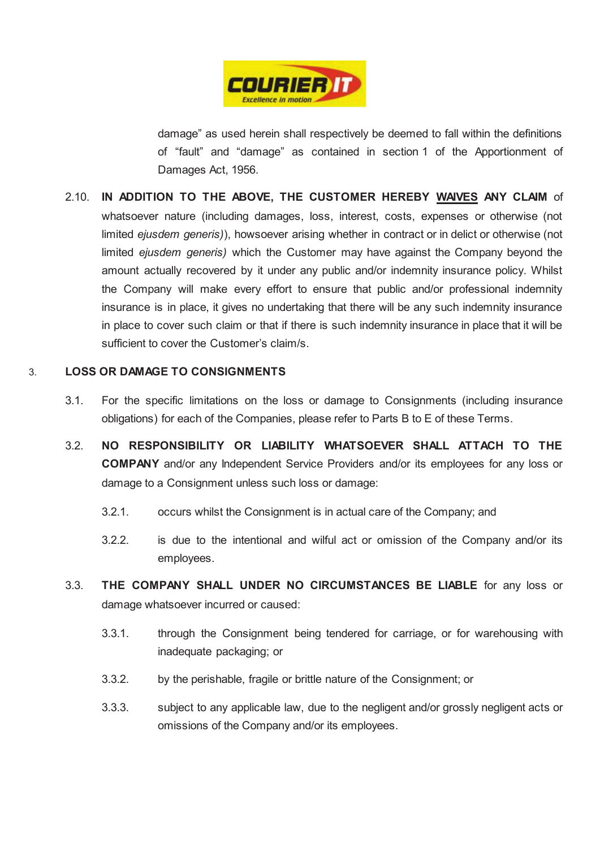

damage" as used herein shall respectively be deemed to fall within the definitions of "fault" and "damage" as contained in section 1 of the Apportionment of Damages Act, 1956.

2.10. **IN ADDITION TO THE ABOVE, THE CUSTOMER HEREBY WAIVES ANY CLAIM** of whatsoever nature (including damages, loss, interest, costs, expenses or otherwise (not limited *ejusdem generis)*), howsoever arising whether in contract or in delict or otherwise (not limited *ejusdem generis)* which the Customer may have against the Company beyond the amount actually recovered by it under any public and/or indemnity insurance policy. Whilst the Company will make every effort to ensure that public and/or professional indemnity insurance is in place, it gives no undertaking that there will be any such indemnity insurance in place to cover such claim or that if there is such indemnity insurance in place that it will be sufficient to cover the Customer's claim/s.

# 3. **LOSS OR DAMAGE TO CONSIGNMENTS**

- 3.1. For the specific limitations on the loss or damage to Consignments (including insurance obligations) for each of the Companies, please refer to Parts B to E of these Terms.
- 3.2. **NO RESPONSIBILITY OR LIABILITY WHATSOEVER SHALL ATTACH TO THE COMPANY** and/or any Independent Service Providers and/or its employees for any loss or damage to a Consignment unless such loss or damage:
	- 3.2.1. occurs whilst the Consignment is in actual care of the Company; and
	- 3.2.2. is due to the intentional and wilful act or omission of the Company and/or its employees.
- 3.3. **THE COMPANY SHALL UNDER NO CIRCUMSTANCES BE LIABLE** for any loss or damage whatsoever incurred or caused:
	- 3.3.1. through the Consignment being tendered for carriage, or for warehousing with inadequate packaging; or
	- 3.3.2. by the perishable, fragile or brittle nature of the Consignment; or
	- 3.3.3. subject to any applicable law, due to the negligent and/or grossly negligent acts or omissions of the Company and/or its employees.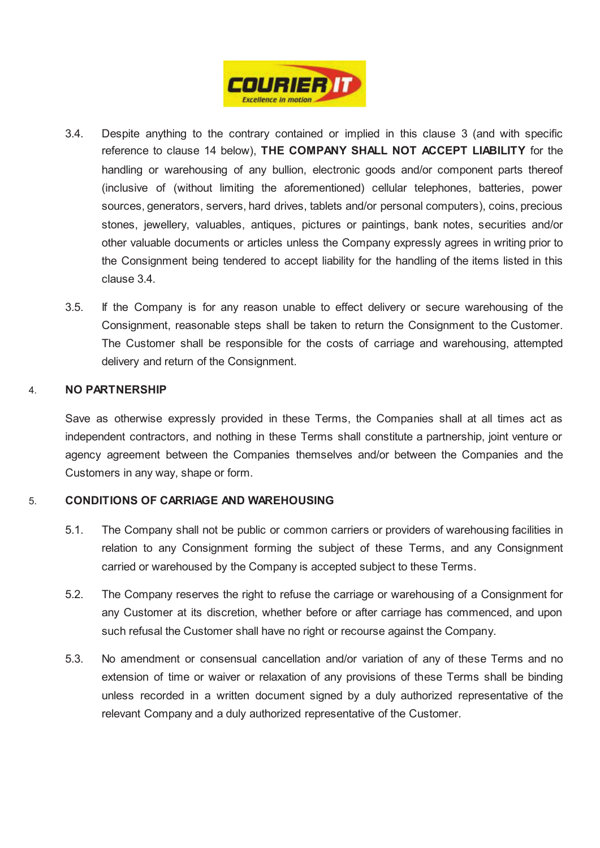

- 3.4. Despite anything to the contrary contained or implied in this clause 3 (and with specific reference to clause 14 below), **THE COMPANY SHALL NOT ACCEPT LIABILITY** for the handling or warehousing of any bullion, electronic goods and/or component parts thereof (inclusive of (without limiting the aforementioned) cellular telephones, batteries, power sources, generators, servers, hard drives, tablets and/or personal computers), coins, precious stones, jewellery, valuables, antiques, pictures or paintings, bank notes, securities and/or other valuable documents or articles unless the Company expressly agrees in writing prior to the Consignment being tendered to accept liability for the handling of the items listed in this clause 3.4.
- 3.5. If the Company is for any reason unable to effect delivery or secure warehousing of the Consignment, reasonable steps shall be taken to return the Consignment to the Customer. The Customer shall be responsible for the costs of carriage and warehousing, attempted delivery and return of the Consignment.

# 4. **NO PARTNERSHIP**

Save as otherwise expressly provided in these Terms, the Companies shall at all times act as independent contractors, and nothing in these Terms shall constitute a partnership, joint venture or agency agreement between the Companies themselves and/or between the Companies and the Customers in any way, shape or form.

## 5. **CONDITIONS OF CARRIAGE AND WAREHOUSING**

- 5.1. The Company shall not be public or common carriers or providers of warehousing facilities in relation to any Consignment forming the subject of these Terms, and any Consignment carried or warehoused by the Company is accepted subject to these Terms.
- 5.2. The Company reserves the right to refuse the carriage or warehousing of a Consignment for any Customer at its discretion, whether before or after carriage has commenced, and upon such refusal the Customer shall have no right or recourse against the Company.
- 5.3. No amendment or consensual cancellation and/or variation of any of these Terms and no extension of time or waiver or relaxation of any provisions of these Terms shall be binding unless recorded in a written document signed by a duly authorized representative of the relevant Company and a duly authorized representative of the Customer.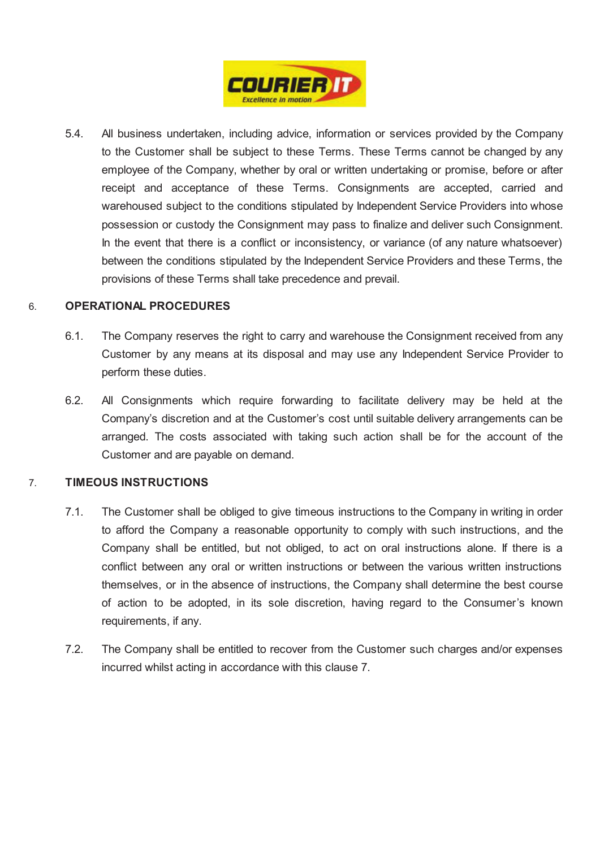

5.4. All business undertaken, including advice, information or services provided by the Company to the Customer shall be subject to these Terms. These Terms cannot be changed by any employee of the Company, whether by oral or written undertaking or promise, before or after receipt and acceptance of these Terms. Consignments are accepted, carried and warehoused subject to the conditions stipulated by Independent Service Providers into whose possession or custody the Consignment may pass to finalize and deliver such Consignment. In the event that there is a conflict or inconsistency, or variance (of any nature whatsoever) between the conditions stipulated by the Independent Service Providers and these Terms, the provisions of these Terms shall take precedence and prevail.

## 6. **OPERATIONAL PROCEDURES**

- 6.1. The Company reserves the right to carry and warehouse the Consignment received from any Customer by any means at its disposal and may use any Independent Service Provider to perform these duties.
- 6.2. All Consignments which require forwarding to facilitate delivery may be held at the Company's discretion and at the Customer's cost until suitable delivery arrangements can be arranged. The costs associated with taking such action shall be for the account of the Customer and are payable on demand.

# 7. **TIMEOUS INSTRUCTIONS**

- 7.1. The Customer shall be obliged to give timeous instructions to the Company in writing in order to afford the Company a reasonable opportunity to comply with such instructions, and the Company shall be entitled, but not obliged, to act on oral instructions alone. If there is a conflict between any oral or written instructions or between the various written instructions themselves, or in the absence of instructions, the Company shall determine the best course of action to be adopted, in its sole discretion, having regard to the Consumer's known requirements, if any.
- 7.2. The Company shall be entitled to recover from the Customer such charges and/or expenses incurred whilst acting in accordance with this clause 7.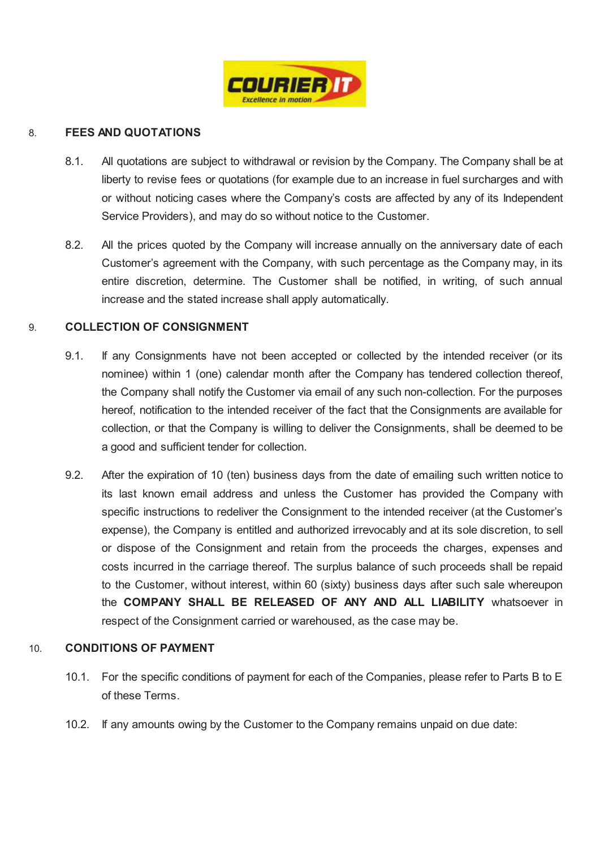

# 8. **FEES AND QUOTATIONS**

- 8.1. All quotations are subject to withdrawal or revision by the Company. The Company shall be at liberty to revise fees or quotations (for example due to an increase in fuel surcharges and with or without noticing cases where the Company's costs are affected by any of its Independent Service Providers), and may do so without notice to the Customer.
- 8.2. All the prices quoted by the Company will increase annually on the anniversary date of each Customer's agreement with the Company, with such percentage as the Company may, in its entire discretion, determine. The Customer shall be notified, in writing, of such annual increase and the stated increase shall apply automatically.

# 9. **COLLECTION OF CONSIGNMENT**

- 9.1. If any Consignments have not been accepted or collected by the intended receiver (or its nominee) within 1 (one) calendar month after the Company has tendered collection thereof, the Company shall notify the Customer via email of any such non-collection. For the purposes hereof, notification to the intended receiver of the fact that the Consignments are available for collection, or that the Company is willing to deliver the Consignments, shall be deemed to be a good and sufficient tender for collection.
- 9.2. After the expiration of 10 (ten) business days from the date of emailing such written notice to its last known email address and unless the Customer has provided the Company with specific instructions to redeliver the Consignment to the intended receiver (at the Customer's expense), the Company is entitled and authorized irrevocably and at its sole discretion, to sell or dispose of the Consignment and retain from the proceeds the charges, expenses and costs incurred in the carriage thereof. The surplus balance of such proceeds shall be repaid to the Customer, without interest, within 60 (sixty) business days after such sale whereupon the **COMPANY SHALL BE RELEASED OF ANY AND ALL LIABILITY** whatsoever in respect of the Consignment carried or warehoused, as the case may be.

## 10. **CONDITIONS OF PAYMENT**

- 10.1. For the specific conditions of payment for each of the Companies, please refer to Parts B to E of these Terms.
- 10.2. If any amounts owing by the Customer to the Company remains unpaid on due date: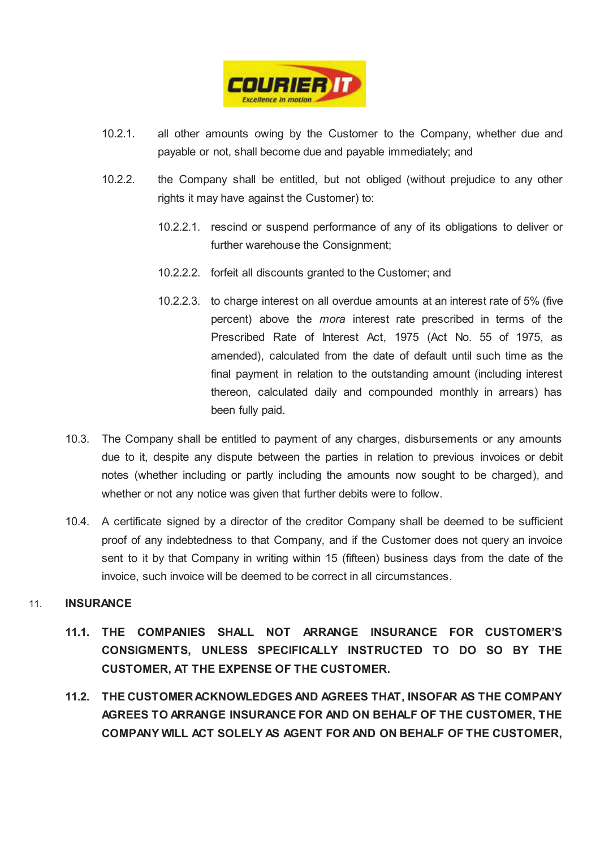

- 10.2.1. all other amounts owing by the Customer to the Company, whether due and payable or not, shall become due and payable immediately; and
- 10.2.2. the Company shall be entitled, but not obliged (without prejudice to any other rights it may have against the Customer) to:
	- 10.2.2.1. rescind or suspend performance of any of its obligations to deliver or further warehouse the Consignment;
	- 10.2.2.2. forfeit all discounts granted to the Customer; and
	- 10.2.2.3. to charge interest on all overdue amounts at an interest rate of 5% (five percent) above the *mora* interest rate prescribed in terms of the Prescribed Rate of Interest Act, 1975 (Act No. 55 of 1975, as amended), calculated from the date of default until such time as the final payment in relation to the outstanding amount (including interest thereon, calculated daily and compounded monthly in arrears) has been fully paid.
- 10.3. The Company shall be entitled to payment of any charges, disbursements or any amounts due to it, despite any dispute between the parties in relation to previous invoices or debit notes (whether including or partly including the amounts now sought to be charged), and whether or not any notice was given that further debits were to follow.
- 10.4. A certificate signed by a director of the creditor Company shall be deemed to be sufficient proof of any indebtedness to that Company, and if the Customer does not query an invoice sent to it by that Company in writing within 15 (fifteen) business days from the date of the invoice, such invoice will be deemed to be correct in all circumstances.

# 11. **INSURANCE**

- **11.1. THE COMPANIES SHALL NOT ARRANGE INSURANCE FOR CUSTOMER'S CONSIGMENTS, UNLESS SPECIFICALLY INSTRUCTED TO DO SO BY THE CUSTOMER, AT THE EXPENSE OF THE CUSTOMER.**
- **11.2. THE CUSTOMER ACKNOWLEDGES AND AGREES THAT, INSOFAR AS THE COMPANY AGREES TO ARRANGE INSURANCE FOR AND ON BEHALF OF THE CUSTOMER, THE COMPANY WILL ACT SOLELY AS AGENT FOR AND ON BEHALF OF THE CUSTOMER,**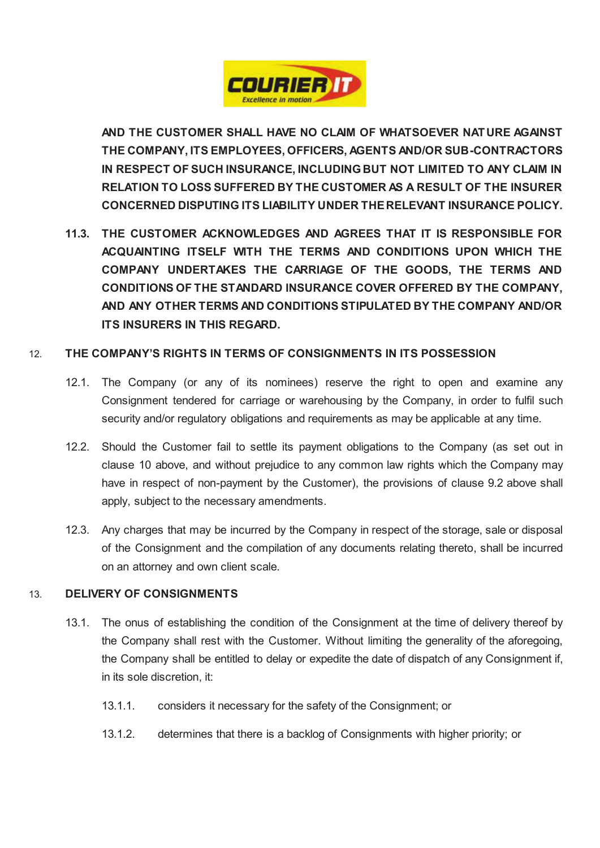

**AND THE CUSTOMER SHALL HAVE NO CLAIM OF WHATSOEVER NATURE AGAINST THE COMPANY, ITS EMPLOYEES, OFFICERS, AGENTS AND/OR SUB-CONTRACTORS IN RESPECT OF SUCH INSURANCE, INCLUDING BUT NOT LIMITED TO ANY CLAIM IN RELATION TO LOSS SUFFERED BY THE CUSTOMER AS A RESULT OF THE INSURER CONCERNED DISPUTING ITS LIABILITY UNDER THE RELEVANT INSURANCE POLICY.** 

**11.3. THE CUSTOMER ACKNOWLEDGES AND AGREES THAT IT IS RESPONSIBLE FOR ACQUAINTING ITSELF WITH THE TERMS AND CONDITIONS UPON WHICH THE COMPANY UNDERTAKES THE CARRIAGE OF THE GOODS, THE TERMS AND CONDITIONS OF THE STANDARD INSURANCE COVER OFFERED BY THE COMPANY, AND ANY OTHER TERMS AND CONDITIONS STIPULATED BY THE COMPANY AND/OR ITS INSURERS IN THIS REGARD.** 

# 12. **THE COMPANY'S RIGHTS IN TERMS OF CONSIGNMENTS IN ITS POSSESSION**

- 12.1. The Company (or any of its nominees) reserve the right to open and examine any Consignment tendered for carriage or warehousing by the Company, in order to fulfil such security and/or regulatory obligations and requirements as may be applicable at any time.
- 12.2. Should the Customer fail to settle its payment obligations to the Company (as set out in clause 10 above, and without prejudice to any common law rights which the Company may have in respect of non-payment by the Customer), the provisions of clause 9.2 above shall apply, subject to the necessary amendments.
- 12.3. Any charges that may be incurred by the Company in respect of the storage, sale or disposal of the Consignment and the compilation of any documents relating thereto, shall be incurred on an attorney and own client scale.

## 13. **DELIVERY OF CONSIGNMENTS**

- 13.1. The onus of establishing the condition of the Consignment at the time of delivery thereof by the Company shall rest with the Customer. Without limiting the generality of the aforegoing, the Company shall be entitled to delay or expedite the date of dispatch of any Consignment if, in its sole discretion, it:
	- 13.1.1. considers it necessary for the safety of the Consignment; or
	- 13.1.2. determines that there is a backlog of Consignments with higher priority; or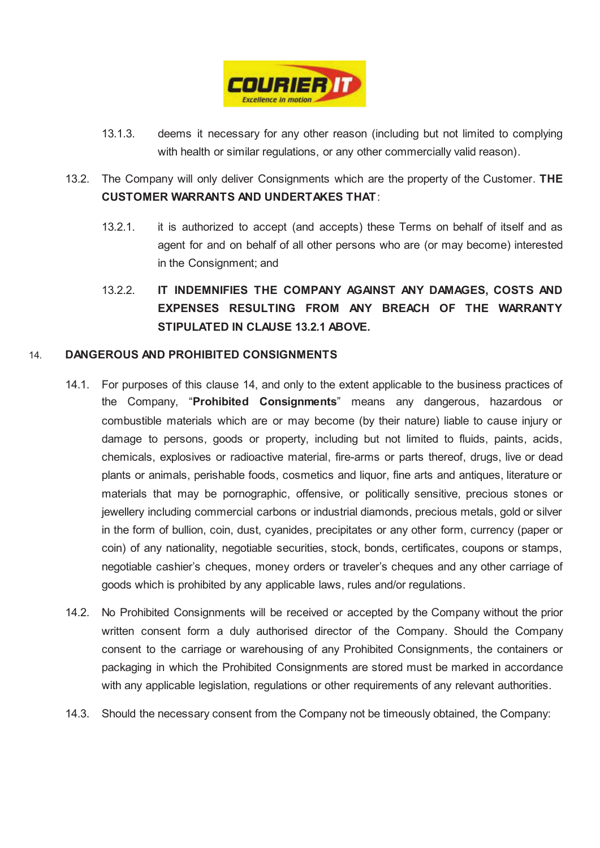

- 13.1.3. deems it necessary for any other reason (including but not limited to complying with health or similar regulations, or any other commercially valid reason).
- 13.2. The Company will only deliver Consignments which are the property of the Customer. **THE CUSTOMER WARRANTS AND UNDERTAKES THAT**:
	- 13.2.1. it is authorized to accept (and accepts) these Terms on behalf of itself and as agent for and on behalf of all other persons who are (or may become) interested in the Consignment; and
	- 13.2.2. **IT INDEMNIFIES THE COMPANY AGAINST ANY DAMAGES, COSTS AND EXPENSES RESULTING FROM ANY BREACH OF THE WARRANTY STIPULATED IN CLAUSE 13.2.1 ABOVE.**

# 14. **DANGEROUS AND PROHIBITED CONSIGNMENTS**

- 14.1. For purposes of this clause 14, and only to the extent applicable to the business practices of the Company, "**Prohibited Consignments**" means any dangerous, hazardous or combustible materials which are or may become (by their nature) liable to cause injury or damage to persons, goods or property, including but not limited to fluids, paints, acids, chemicals, explosives or radioactive material, fire-arms or parts thereof, drugs, live or dead plants or animals, perishable foods, cosmetics and liquor, fine arts and antiques, literature or materials that may be pornographic, offensive, or politically sensitive, precious stones or jewellery including commercial carbons or industrial diamonds, precious metals, gold or silver in the form of bullion, coin, dust, cyanides, precipitates or any other form, currency (paper or coin) of any nationality, negotiable securities, stock, bonds, certificates, coupons or stamps, negotiable cashier's cheques, money orders or traveler's cheques and any other carriage of goods which is prohibited by any applicable laws, rules and/or regulations.
- 14.2. No Prohibited Consignments will be received or accepted by the Company without the prior written consent form a duly authorised director of the Company. Should the Company consent to the carriage or warehousing of any Prohibited Consignments, the containers or packaging in which the Prohibited Consignments are stored must be marked in accordance with any applicable legislation, regulations or other requirements of any relevant authorities.
- 14.3. Should the necessary consent from the Company not be timeously obtained, the Company: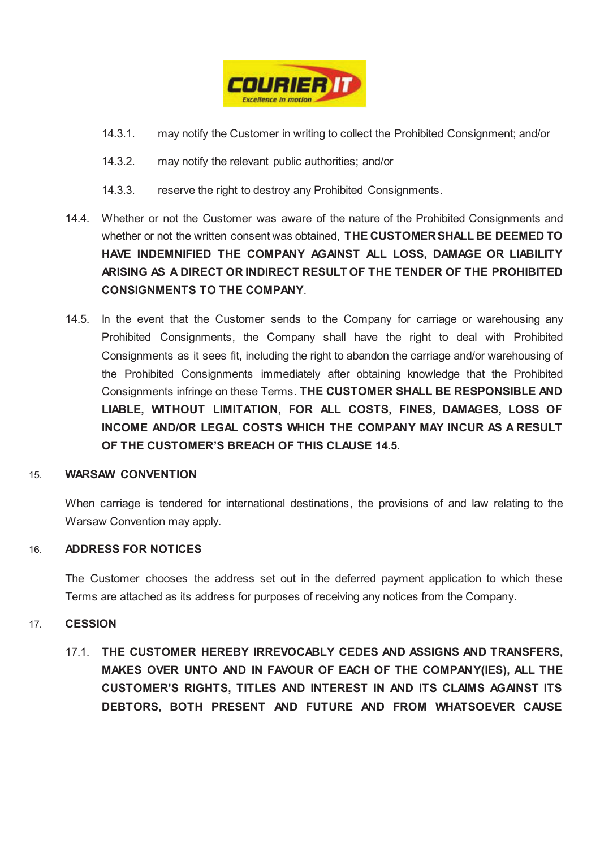

- 14.3.1. may notify the Customer in writing to collect the Prohibited Consignment; and/or
- 14.3.2. may notify the relevant public authorities; and/or
- 14.3.3. reserve the right to destroy any Prohibited Consignments.
- 14.4. Whether or not the Customer was aware of the nature of the Prohibited Consignments and whether or not the written consent was obtained, **THE CUSTOMER SHALL BE DEEMED TO HAVE INDEMNIFIED THE COMPANY AGAINST ALL LOSS, DAMAGE OR LIABILITY ARISING AS A DIRECT OR INDIRECT RESULT OF THE TENDER OF THE PROHIBITED CONSIGNMENTS TO THE COMPANY**.
- 14.5. In the event that the Customer sends to the Company for carriage or warehousing any Prohibited Consignments, the Company shall have the right to deal with Prohibited Consignments as it sees fit, including the right to abandon the carriage and/or warehousing of the Prohibited Consignments immediately after obtaining knowledge that the Prohibited Consignments infringe on these Terms. **THE CUSTOMER SHALL BE RESPONSIBLE AND LIABLE, WITHOUT LIMITATION, FOR ALL COSTS, FINES, DAMAGES, LOSS OF INCOME AND/OR LEGAL COSTS WHICH THE COMPANY MAY INCUR AS A RESULT OF THE CUSTOMER'S BREACH OF THIS CLAUSE 14.5.**

## 15. **WARSAW CONVENTION**

When carriage is tendered for international destinations, the provisions of and law relating to the Warsaw Convention may apply.

## 16. **ADDRESS FOR NOTICES**

The Customer chooses the address set out in the deferred payment application to which these Terms are attached as its address for purposes of receiving any notices from the Company.

## 17. **CESSION**

17.1. **THE CUSTOMER HEREBY IRREVOCABLY CEDES AND ASSIGNS AND TRANSFERS, MAKES OVER UNTO AND IN FAVOUR OF EACH OF THE COMPANY(IES), ALL THE CUSTOMER'S RIGHTS, TITLES AND INTEREST IN AND ITS CLAIMS AGAINST ITS DEBTORS, BOTH PRESENT AND FUTURE AND FROM WHATSOEVER CAUSE**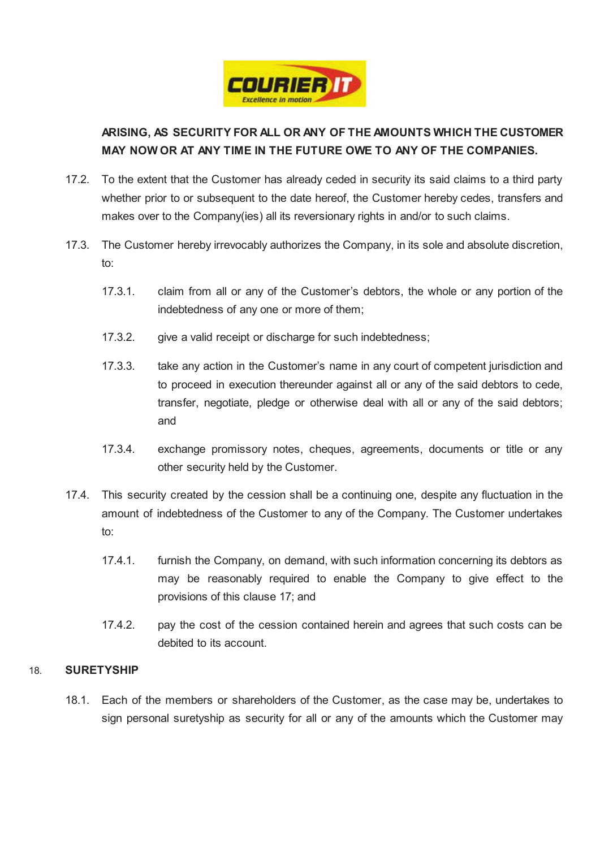

# **ARISING, AS SECURITY FOR ALL OR ANY OF THE AMOUNTS WHICH THE CUSTOMER MAY NOW OR AT ANY TIME IN THE FUTURE OWE TO ANY OF THE COMPANIES.**

- 17.2. To the extent that the Customer has already ceded in security its said claims to a third party whether prior to or subsequent to the date hereof, the Customer hereby cedes, transfers and makes over to the Company(ies) all its reversionary rights in and/or to such claims.
- 17.3. The Customer hereby irrevocably authorizes the Company, in its sole and absolute discretion, to:
	- 17.3.1. claim from all or any of the Customer's debtors, the whole or any portion of the indebtedness of any one or more of them;
	- 17.3.2. give a valid receipt or discharge for such indebtedness;
	- 17.3.3. take any action in the Customer's name in any court of competent jurisdiction and to proceed in execution thereunder against all or any of the said debtors to cede, transfer, negotiate, pledge or otherwise deal with all or any of the said debtors; and
	- 17.3.4. exchange promissory notes, cheques, agreements, documents or title or any other security held by the Customer.
- 17.4. This security created by the cession shall be a continuing one, despite any fluctuation in the amount of indebtedness of the Customer to any of the Company. The Customer undertakes to:
	- 17.4.1. furnish the Company, on demand, with such information concerning its debtors as may be reasonably required to enable the Company to give effect to the provisions of this clause 17; and
	- 17.4.2. pay the cost of the cession contained herein and agrees that such costs can be debited to its account.

# 18. **SURETYSHIP**

18.1. Each of the members or shareholders of the Customer, as the case may be, undertakes to sign personal suretyship as security for all or any of the amounts which the Customer may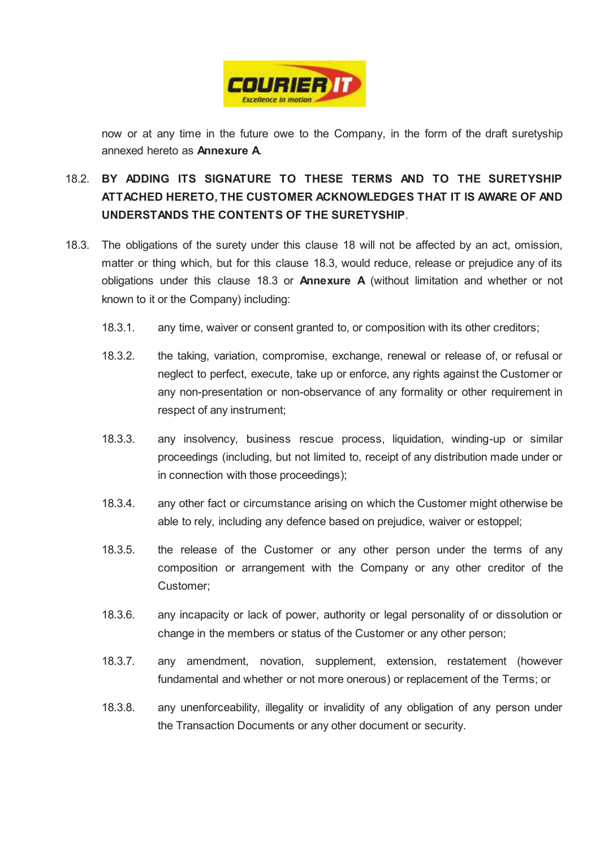

now or at any time in the future owe to the Company, in the form of the draft suretyship annexed hereto as **Annexure A**.

- 18.2. **BY ADDING ITS SIGNATURE TO THESE TERMS AND TO THE SURETYSHIP ATTACHED HERETO, THE CUSTOMER ACKNOWLEDGES THAT IT IS AWARE OF AND UNDERSTANDS THE CONTENTS OF THE SURETYSHIP**.
- 18.3. The obligations of the surety under this clause 18 will not be affected by an act, omission, matter or thing which, but for this clause 18.3, would reduce, release or prejudice any of its obligations under this clause 18.3 or **Annexure A** (without limitation and whether or not known to it or the Company) including:
	- 18.3.1. any time, waiver or consent granted to, or composition with its other creditors;
	- 18.3.2. the taking, variation, compromise, exchange, renewal or release of, or refusal or neglect to perfect, execute, take up or enforce, any rights against the Customer or any non-presentation or non-observance of any formality or other requirement in respect of any instrument;
	- 18.3.3. any insolvency, business rescue process, liquidation, winding-up or similar proceedings (including, but not limited to, receipt of any distribution made under or in connection with those proceedings);
	- 18.3.4. any other fact or circumstance arising on which the Customer might otherwise be able to rely, including any defence based on prejudice, waiver or estoppel;
	- 18.3.5. the release of the Customer or any other person under the terms of any composition or arrangement with the Company or any other creditor of the Customer;
	- 18.3.6. any incapacity or lack of power, authority or legal personality of or dissolution or change in the members or status of the Customer or any other person;
	- 18.3.7. any amendment, novation, supplement, extension, restatement (however fundamental and whether or not more onerous) or replacement of the Terms; or
	- 18.3.8. any unenforceability, illegality or invalidity of any obligation of any person under the Transaction Documents or any other document or security.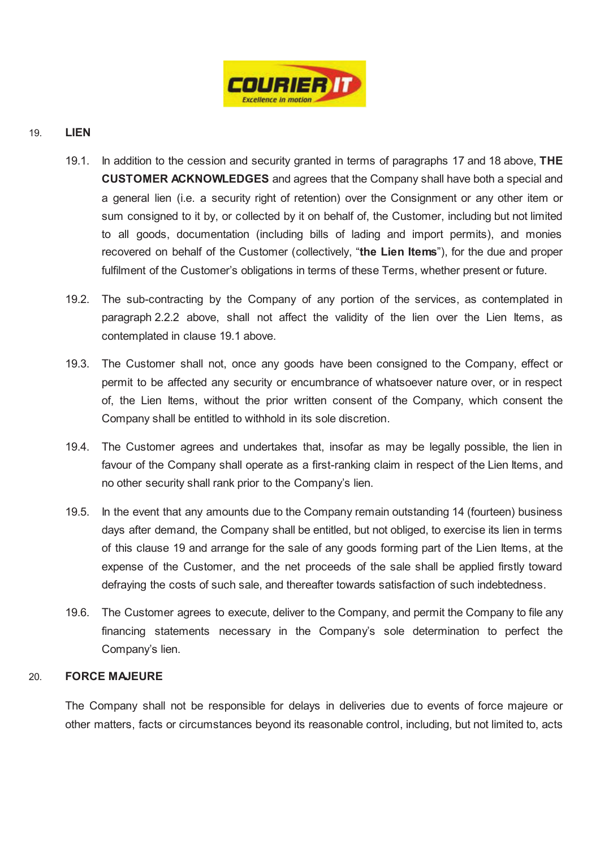

# 19. **LIEN**

- 19.1. In addition to the cession and security granted in terms of paragraphs 17 and 18 above, **THE CUSTOMER ACKNOWLEDGES** and agrees that the Company shall have both a special and a general lien (i.e. a security right of retention) over the Consignment or any other item or sum consigned to it by, or collected by it on behalf of, the Customer, including but not limited to all goods, documentation (including bills of lading and import permits), and monies recovered on behalf of the Customer (collectively, "**the Lien Items**"), for the due and proper fulfilment of the Customer's obligations in terms of these Terms, whether present or future.
- 19.2. The sub-contracting by the Company of any portion of the services, as contemplated in paragraph 2.2.2 above, shall not affect the validity of the lien over the Lien Items, as contemplated in clause 19.1 above.
- 19.3. The Customer shall not, once any goods have been consigned to the Company, effect or permit to be affected any security or encumbrance of whatsoever nature over, or in respect of, the Lien Items, without the prior written consent of the Company, which consent the Company shall be entitled to withhold in its sole discretion.
- 19.4. The Customer agrees and undertakes that, insofar as may be legally possible, the lien in favour of the Company shall operate as a first-ranking claim in respect of the Lien Items, and no other security shall rank prior to the Company's lien.
- 19.5. In the event that any amounts due to the Company remain outstanding 14 (fourteen) business days after demand, the Company shall be entitled, but not obliged, to exercise its lien in terms of this clause 19 and arrange for the sale of any goods forming part of the Lien Items, at the expense of the Customer, and the net proceeds of the sale shall be applied firstly toward defraying the costs of such sale, and thereafter towards satisfaction of such indebtedness.
- 19.6. The Customer agrees to execute, deliver to the Company, and permit the Company to file any financing statements necessary in the Company's sole determination to perfect the Company's lien.

## 20. **FORCE MAJEURE**

The Company shall not be responsible for delays in deliveries due to events of force majeure or other matters, facts or circumstances beyond its reasonable control, including, but not limited to, acts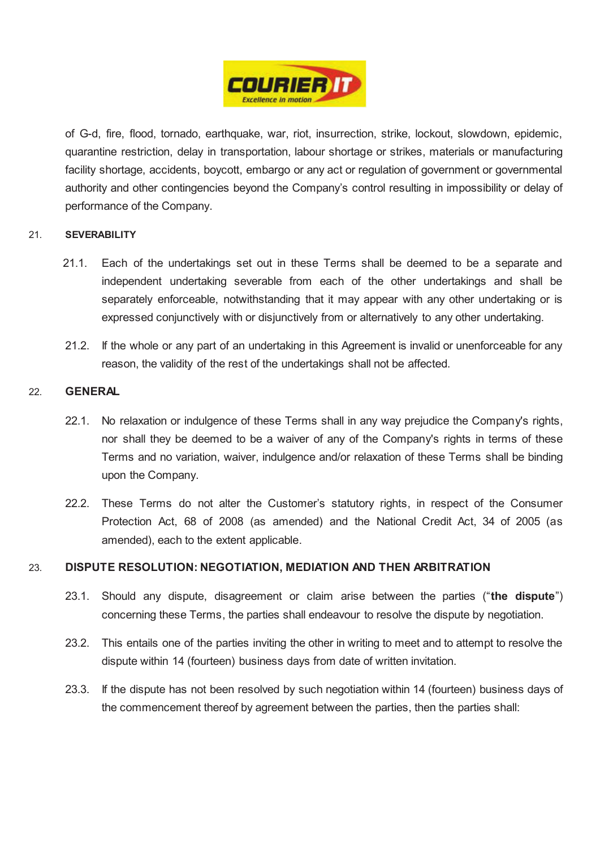

of G-d, fire, flood, tornado, earthquake, war, riot, insurrection, strike, lockout, slowdown, epidemic, quarantine restriction, delay in transportation, labour shortage or strikes, materials or manufacturing facility shortage, accidents, boycott, embargo or any act or regulation of government or governmental authority and other contingencies beyond the Company's control resulting in impossibility or delay of performance of the Company.

## 21. **SEVERABILITY**

- 21.1. Each of the undertakings set out in these Terms shall be deemed to be a separate and independent undertaking severable from each of the other undertakings and shall be separately enforceable, notwithstanding that it may appear with any other undertaking or is expressed conjunctively with or disjunctively from or alternatively to any other undertaking.
- 21.2. If the whole or any part of an undertaking in this Agreement is invalid or unenforceable for any reason, the validity of the rest of the undertakings shall not be affected.

## 22. **GENERAL**

- 22.1. No relaxation or indulgence of these Terms shall in any way prejudice the Company's rights, nor shall they be deemed to be a waiver of any of the Company's rights in terms of these Terms and no variation, waiver, indulgence and/or relaxation of these Terms shall be binding upon the Company.
- 22.2. These Terms do not alter the Customer's statutory rights, in respect of the Consumer Protection Act, 68 of 2008 (as amended) and the National Credit Act, 34 of 2005 (as amended), each to the extent applicable.

## 23. **DISPUTE RESOLUTION: NEGOTIATION, MEDIATION AND THEN ARBITRATION**

- 23.1. Should any dispute, disagreement or claim arise between the parties ("**the dispute**") concerning these Terms, the parties shall endeavour to resolve the dispute by negotiation.
- 23.2. This entails one of the parties inviting the other in writing to meet and to attempt to resolve the dispute within 14 (fourteen) business days from date of written invitation.
- 23.3. If the dispute has not been resolved by such negotiation within 14 (fourteen) business days of the commencement thereof by agreement between the parties, then the parties shall: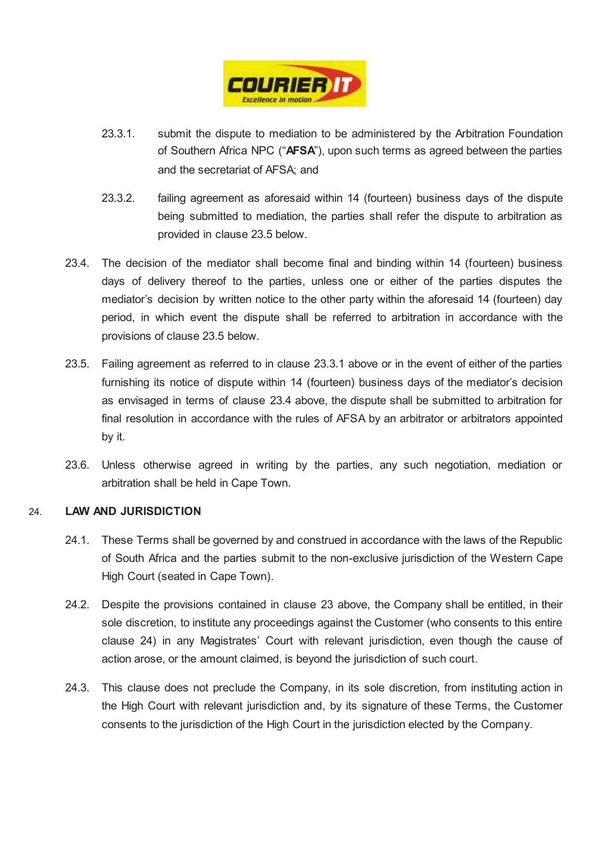

- 23.3.1. submit the dispute to mediation to be administered by the Arbitration Foundation of Southern Africa NPC ("**AFSA**"), upon such terms as agreed between the parties and the secretariat of AFSA; and
- 23.3.2. failing agreement as aforesaid within 14 (fourteen) business days of the dispute being submitted to mediation, the parties shall refer the dispute to arbitration as provided in clause 23.5 below.
- 23.4. The decision of the mediator shall become final and binding within 14 (fourteen) business days of delivery thereof to the parties, unless one or either of the parties disputes the mediator's decision by written notice to the other party within the aforesaid 14 (fourteen) day period, in which event the dispute shall be referred to arbitration in accordance with the provisions of clause 23.5 below.
- 23.5. Failing agreement as referred to in clause 23.3.1 above or in the event of either of the parties furnishing its notice of dispute within 14 (fourteen) business days of the mediator's decision as envisaged in terms of clause 23.4 above, the dispute shall be submitted to arbitration for final resolution in accordance with the rules of AFSA by an arbitrator or arbitrators appointed by it.
- 23.6. Unless otherwise agreed in writing by the parties, any such negotiation, mediation or arbitration shall be held in Cape Town.

## 24. **LAW AND JURISDICTION**

- 24.1. These Terms shall be governed by and construed in accordance with the laws of the Republic of South Africa and the parties submit to the non-exclusive jurisdiction of the Western Cape High Court (seated in Cape Town).
- 24.2. Despite the provisions contained in clause 23 above, the Company shall be entitled, in their sole discretion, to institute any proceedings against the Customer (who consents to this entire clause 24) in any Magistrates' Court with relevant jurisdiction, even though the cause of action arose, or the amount claimed, is beyond the jurisdiction of such court.
- 24.3. This clause does not preclude the Company, in its sole discretion, from instituting action in the High Court with relevant jurisdiction and, by its signature of these Terms, the Customer consents to the jurisdiction of the High Court in the jurisdiction elected by the Company.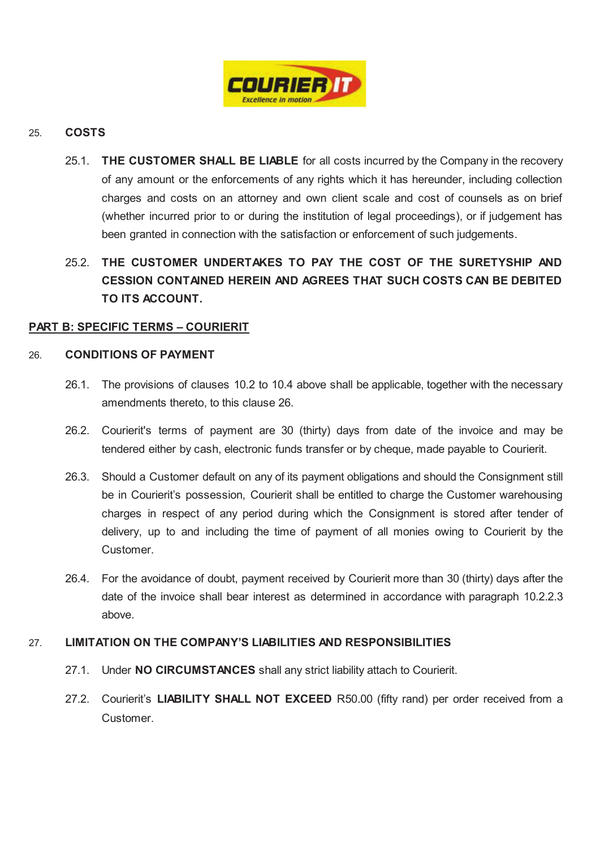

# 25. **COSTS**

25.1. **THE CUSTOMER SHALL BE LIABLE** for all costs incurred by the Company in the recovery of any amount or the enforcements of any rights which it has hereunder, including collection charges and costs on an attorney and own client scale and cost of counsels as on brief (whether incurred prior to or during the institution of legal proceedings), or if judgement has been granted in connection with the satisfaction or enforcement of such judgements.

# 25.2. **THE CUSTOMER UNDERTAKES TO PAY THE COST OF THE SURETYSHIP AND CESSION CONTAINED HEREIN AND AGREES THAT SUCH COSTS CAN BE DEBITED TO ITS ACCOUNT.**

# **PART B: SPECIFIC TERMS – COURIERIT**

## 26. **CONDITIONS OF PAYMENT**

- 26.1. The provisions of clauses 10.2 to 10.4 above shall be applicable, together with the necessary amendments thereto, to this clause 26.
- 26.2. Courierit's terms of payment are 30 (thirty) days from date of the invoice and may be tendered either by cash, electronic funds transfer or by cheque, made payable to Courierit.
- 26.3. Should a Customer default on any of its payment obligations and should the Consignment still be in Courierit's possession, Courierit shall be entitled to charge the Customer warehousing charges in respect of any period during which the Consignment is stored after tender of delivery, up to and including the time of payment of all monies owing to Courierit by the Customer.
- 26.4. For the avoidance of doubt, payment received by Courierit more than 30 (thirty) days after the date of the invoice shall bear interest as determined in accordance with paragraph 10.2.2.3 above.

## 27. **LIMITATION ON THE COMPANY'S LIABILITIES AND RESPONSIBILITIES**

- 27.1. Under **NO CIRCUMSTANCES** shall any strict liability attach to Courierit.
- 27.2. Courierit's **LIABILITY SHALL NOT EXCEED** R50.00 (fifty rand) per order received from a Customer.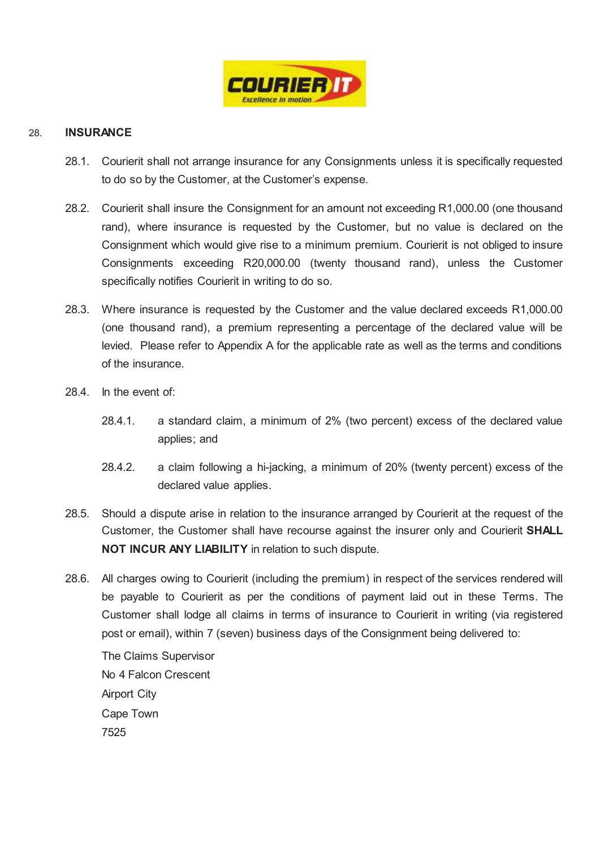

## 28. **INSURANCE**

- 28.1. Courierit shall not arrange insurance for any Consignments unless it is specifically requested to do so by the Customer, at the Customer's expense.
- 28.2. Courierit shall insure the Consignment for an amount not exceeding R1,000.00 (one thousand rand), where insurance is requested by the Customer, but no value is declared on the Consignment which would give rise to a minimum premium. Courierit is not obliged to insure Consignments exceeding R20,000.00 (twenty thousand rand), unless the Customer specifically notifies Courierit in writing to do so.
- 28.3. Where insurance is requested by the Customer and the value declared exceeds R1,000.00 (one thousand rand), a premium representing a percentage of the declared value will be levied. Please refer to Appendix A for the applicable rate as well as the terms and conditions of the insurance.
- 28.4. In the event of:
	- 28.4.1. a standard claim, a minimum of 2% (two percent) excess of the declared value applies; and
	- 28.4.2. a claim following a hi-jacking, a minimum of 20% (twenty percent) excess of the declared value applies.
- 28.5. Should a dispute arise in relation to the insurance arranged by Courierit at the request of the Customer, the Customer shall have recourse against the insurer only and Courierit **SHALL NOT INCUR ANY LIABILITY** in relation to such dispute.
- 28.6. All charges owing to Courierit (including the premium) in respect of the services rendered will be payable to Courierit as per the conditions of payment laid out in these Terms. The Customer shall lodge all claims in terms of insurance to Courierit in writing (via registered post or email), within 7 (seven) business days of the Consignment being delivered to:

The Claims Supervisor No 4 Falcon Crescent Airport City Cape Town 7525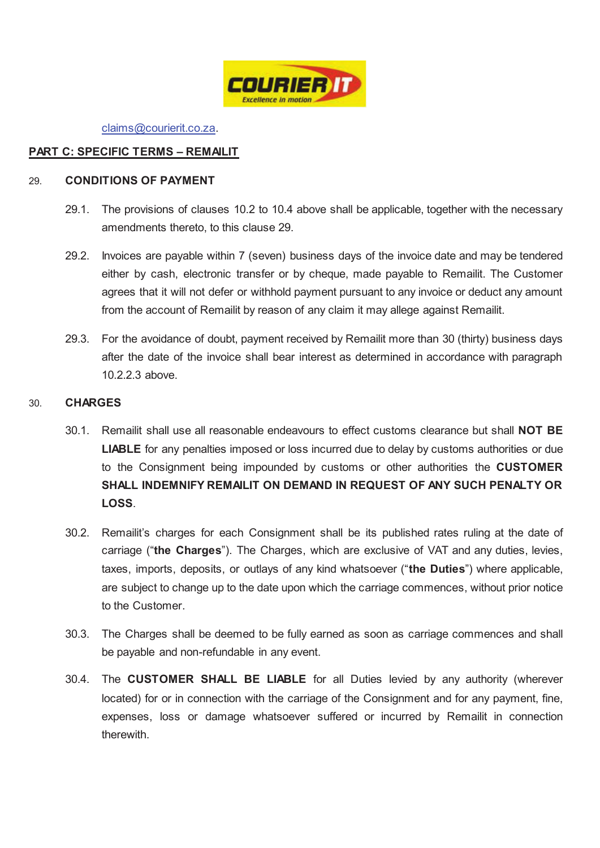

claims@courierit.co.za.

# **PART C: SPECIFIC TERMS – REMAILIT**

## 29. **CONDITIONS OF PAYMENT**

- 29.1. The provisions of clauses 10.2 to 10.4 above shall be applicable, together with the necessary amendments thereto, to this clause 29.
- 29.2. Invoices are payable within 7 (seven) business days of the invoice date and may be tendered either by cash, electronic transfer or by cheque, made payable to Remailit. The Customer agrees that it will not defer or withhold payment pursuant to any invoice or deduct any amount from the account of Remailit by reason of any claim it may allege against Remailit.
- 29.3. For the avoidance of doubt, payment received by Remailit more than 30 (thirty) business days after the date of the invoice shall bear interest as determined in accordance with paragraph 10.2.2.3 above.

## 30. **CHARGES**

- 30.1. Remailit shall use all reasonable endeavours to effect customs clearance but shall **NOT BE LIABLE** for any penalties imposed or loss incurred due to delay by customs authorities or due to the Consignment being impounded by customs or other authorities the **CUSTOMER SHALL INDEMNIFY REMAILIT ON DEMAND IN REQUEST OF ANY SUCH PENALTY OR LOSS**.
- 30.2. Remailit's charges for each Consignment shall be its published rates ruling at the date of carriage ("**the Charges**"). The Charges, which are exclusive of VAT and any duties, levies, taxes, imports, deposits, or outlays of any kind whatsoever ("**the Duties**") where applicable, are subject to change up to the date upon which the carriage commences, without prior notice to the Customer.
- 30.3. The Charges shall be deemed to be fully earned as soon as carriage commences and shall be payable and non-refundable in any event.
- 30.4. The **CUSTOMER SHALL BE LIABLE** for all Duties levied by any authority (wherever located) for or in connection with the carriage of the Consignment and for any payment, fine, expenses, loss or damage whatsoever suffered or incurred by Remailit in connection therewith.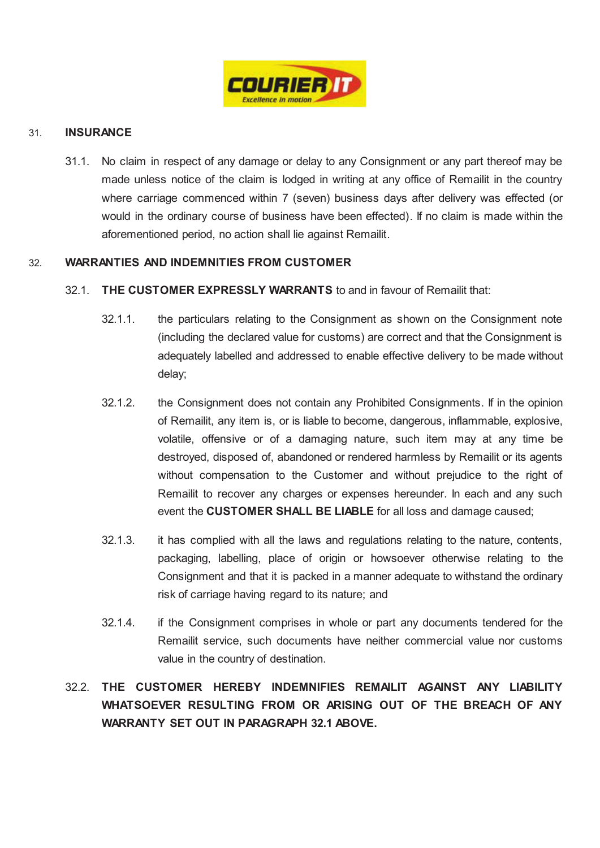

## 31. **INSURANCE**

31.1. No claim in respect of any damage or delay to any Consignment or any part thereof may be made unless notice of the claim is lodged in writing at any office of Remailit in the country where carriage commenced within 7 (seven) business days after delivery was effected (or would in the ordinary course of business have been effected). If no claim is made within the aforementioned period, no action shall lie against Remailit.

# 32. **WARRANTIES AND INDEMNITIES FROM CUSTOMER**

# 32.1. **THE CUSTOMER EXPRESSLY WARRANTS** to and in favour of Remailit that:

- 32.1.1. the particulars relating to the Consignment as shown on the Consignment note (including the declared value for customs) are correct and that the Consignment is adequately labelled and addressed to enable effective delivery to be made without delay;
- 32.1.2. the Consignment does not contain any Prohibited Consignments. If in the opinion of Remailit, any item is, or is liable to become, dangerous, inflammable, explosive, volatile, offensive or of a damaging nature, such item may at any time be destroyed, disposed of, abandoned or rendered harmless by Remailit or its agents without compensation to the Customer and without prejudice to the right of Remailit to recover any charges or expenses hereunder. In each and any such event the **CUSTOMER SHALL BE LIABLE** for all loss and damage caused;
- 32.1.3. it has complied with all the laws and regulations relating to the nature, contents, packaging, labelling, place of origin or howsoever otherwise relating to the Consignment and that it is packed in a manner adequate to withstand the ordinary risk of carriage having regard to its nature; and
- 32.1.4. if the Consignment comprises in whole or part any documents tendered for the Remailit service, such documents have neither commercial value nor customs value in the country of destination.

# 32.2. **THE CUSTOMER HEREBY INDEMNIFIES REMAILIT AGAINST ANY LIABILITY WHATSOEVER RESULTING FROM OR ARISING OUT OF THE BREACH OF ANY WARRANTY SET OUT IN PARAGRAPH 32.1 ABOVE.**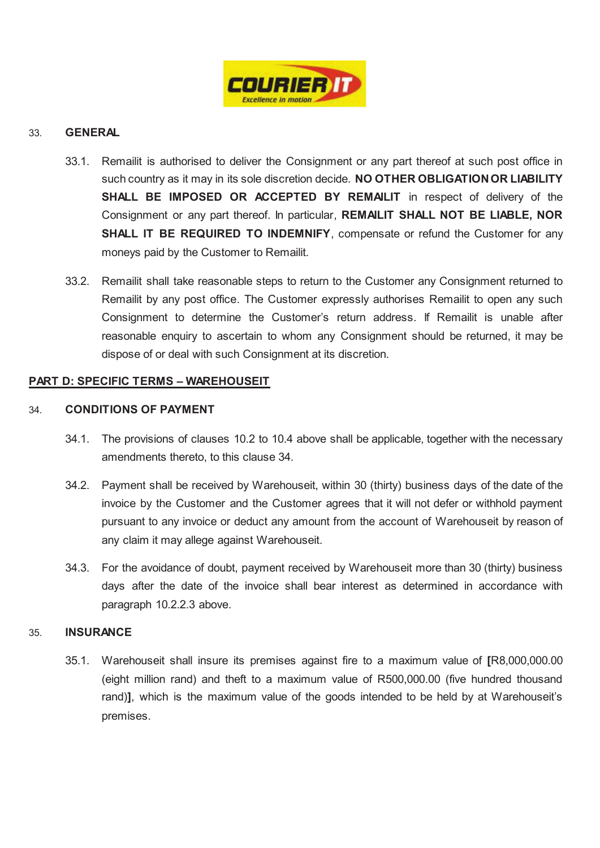

# 33. **GENERAL**

- 33.1. Remailit is authorised to deliver the Consignment or any part thereof at such post office in such country as it may in its sole discretion decide. **NO OTHER OBLIGATION OR LIABILITY**  SHALL BE IMPOSED OR ACCEPTED BY REMAILIT in respect of delivery of the Consignment or any part thereof. In particular, **REMAILIT SHALL NOT BE LIABLE, NOR SHALL IT BE REQUIRED TO INDEMNIFY, compensate or refund the Customer for any** moneys paid by the Customer to Remailit.
- 33.2. Remailit shall take reasonable steps to return to the Customer any Consignment returned to Remailit by any post office. The Customer expressly authorises Remailit to open any such Consignment to determine the Customer's return address. If Remailit is unable after reasonable enquiry to ascertain to whom any Consignment should be returned, it may be dispose of or deal with such Consignment at its discretion.

## **PART D: SPECIFIC TERMS – WAREHOUSEIT**

## 34. **CONDITIONS OF PAYMENT**

- 34.1. The provisions of clauses 10.2 to 10.4 above shall be applicable, together with the necessary amendments thereto, to this clause 34.
- 34.2. Payment shall be received by Warehouseit, within 30 (thirty) business days of the date of the invoice by the Customer and the Customer agrees that it will not defer or withhold payment pursuant to any invoice or deduct any amount from the account of Warehouseit by reason of any claim it may allege against Warehouseit.
- 34.3. For the avoidance of doubt, payment received by Warehouseit more than 30 (thirty) business days after the date of the invoice shall bear interest as determined in accordance with paragraph 10.2.2.3 above.

## 35. **INSURANCE**

35.1. Warehouseit shall insure its premises against fire to a maximum value of **[**R8,000,000.00 (eight million rand) and theft to a maximum value of R500,000.00 (five hundred thousand rand)**]**, which is the maximum value of the goods intended to be held by at Warehouseit's premises.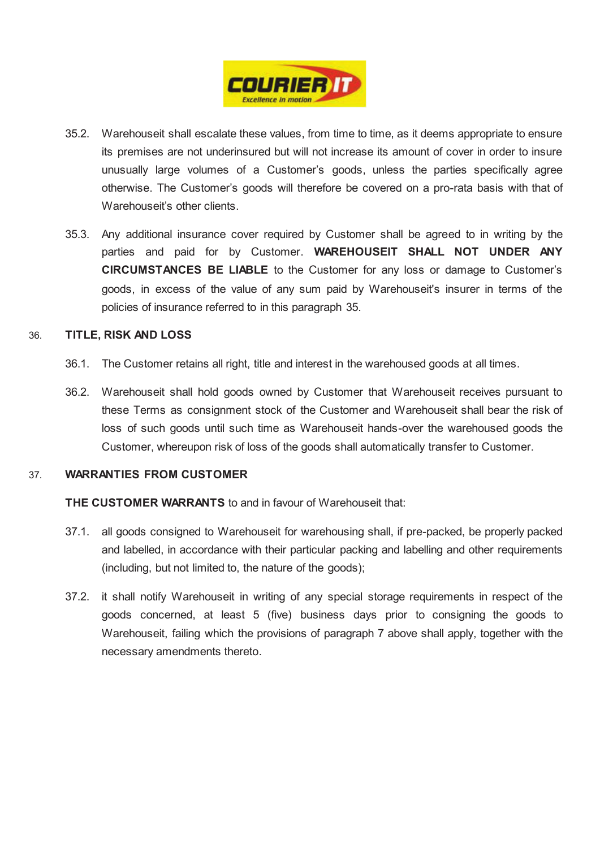

- 35.2. Warehouseit shall escalate these values, from time to time, as it deems appropriate to ensure its premises are not underinsured but will not increase its amount of cover in order to insure unusually large volumes of a Customer's goods, unless the parties specifically agree otherwise. The Customer's goods will therefore be covered on a pro-rata basis with that of Warehouseit's other clients.
- 35.3. Any additional insurance cover required by Customer shall be agreed to in writing by the parties and paid for by Customer. **WAREHOUSEIT SHALL NOT UNDER ANY CIRCUMSTANCES BE LIABLE** to the Customer for any loss or damage to Customer's goods, in excess of the value of any sum paid by Warehouseit's insurer in terms of the policies of insurance referred to in this paragraph 35.

## 36. **TITLE, RISK AND LOSS**

- 36.1. The Customer retains all right, title and interest in the warehoused goods at all times.
- 36.2. Warehouseit shall hold goods owned by Customer that Warehouseit receives pursuant to these Terms as consignment stock of the Customer and Warehouseit shall bear the risk of loss of such goods until such time as Warehouseit hands-over the warehoused goods the Customer, whereupon risk of loss of the goods shall automatically transfer to Customer.

## 37. **WARRANTIES FROM CUSTOMER**

**THE CUSTOMER WARRANTS** to and in favour of Warehouseit that:

- 37.1. all goods consigned to Warehouseit for warehousing shall, if pre-packed, be properly packed and labelled, in accordance with their particular packing and labelling and other requirements (including, but not limited to, the nature of the goods);
- 37.2. it shall notify Warehouseit in writing of any special storage requirements in respect of the goods concerned, at least 5 (five) business days prior to consigning the goods to Warehouseit, failing which the provisions of paragraph 7 above shall apply, together with the necessary amendments thereto.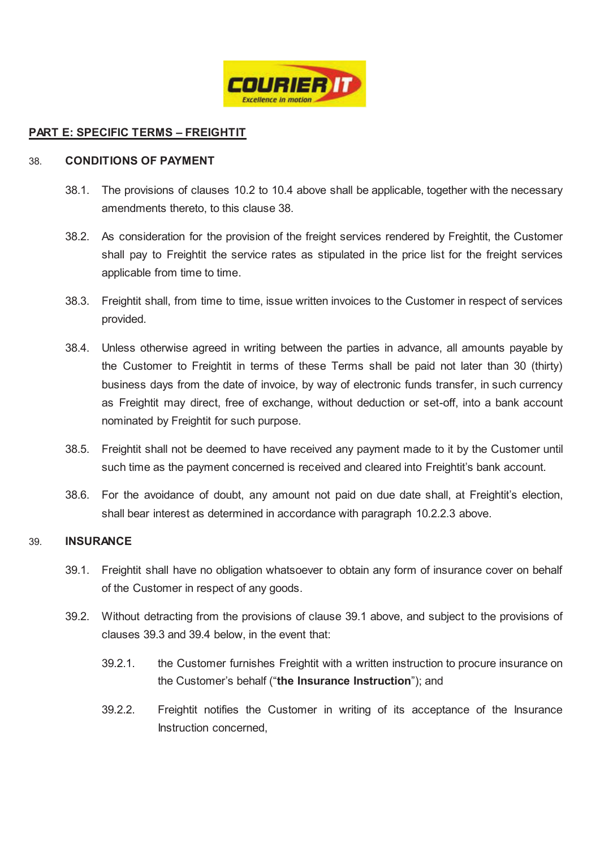

# **PART E: SPECIFIC TERMS – FREIGHTIT**

#### 38. **CONDITIONS OF PAYMENT**

- 38.1. The provisions of clauses 10.2 to 10.4 above shall be applicable, together with the necessary amendments thereto, to this clause 38.
- 38.2. As consideration for the provision of the freight services rendered by Freightit, the Customer shall pay to Freightit the service rates as stipulated in the price list for the freight services applicable from time to time.
- 38.3. Freightit shall, from time to time, issue written invoices to the Customer in respect of services provided.
- 38.4. Unless otherwise agreed in writing between the parties in advance, all amounts payable by the Customer to Freightit in terms of these Terms shall be paid not later than 30 (thirty) business days from the date of invoice, by way of electronic funds transfer, in such currency as Freightit may direct, free of exchange, without deduction or set-off, into a bank account nominated by Freightit for such purpose.
- 38.5. Freightit shall not be deemed to have received any payment made to it by the Customer until such time as the payment concerned is received and cleared into Freightit's bank account.
- 38.6. For the avoidance of doubt, any amount not paid on due date shall, at Freightit's election, shall bear interest as determined in accordance with paragraph 10.2.2.3 above.

# 39. **INSURANCE**

- 39.1. Freightit shall have no obligation whatsoever to obtain any form of insurance cover on behalf of the Customer in respect of any goods.
- 39.2. Without detracting from the provisions of clause 39.1 above, and subject to the provisions of clauses 39.3 and 39.4 below, in the event that:
	- 39.2.1. the Customer furnishes Freightit with a written instruction to procure insurance on the Customer's behalf ("**the Insurance Instruction**"); and
	- 39.2.2. Freightit notifies the Customer in writing of its acceptance of the Insurance Instruction concerned,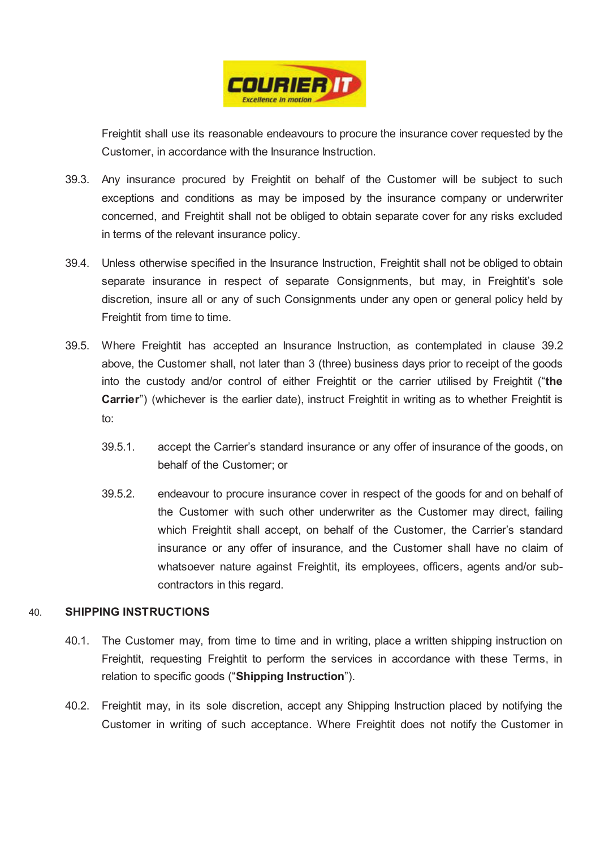

Freightit shall use its reasonable endeavours to procure the insurance cover requested by the Customer, in accordance with the Insurance Instruction.

- 39.3. Any insurance procured by Freightit on behalf of the Customer will be subject to such exceptions and conditions as may be imposed by the insurance company or underwriter concerned, and Freightit shall not be obliged to obtain separate cover for any risks excluded in terms of the relevant insurance policy.
- 39.4. Unless otherwise specified in the Insurance Instruction, Freightit shall not be obliged to obtain separate insurance in respect of separate Consignments, but may, in Freightit's sole discretion, insure all or any of such Consignments under any open or general policy held by Freightit from time to time.
- 39.5. Where Freightit has accepted an Insurance Instruction, as contemplated in clause 39.2 above, the Customer shall, not later than 3 (three) business days prior to receipt of the goods into the custody and/or control of either Freightit or the carrier utilised by Freightit ("**the Carrier**") (whichever is the earlier date), instruct Freightit in writing as to whether Freightit is to:
	- 39.5.1. accept the Carrier's standard insurance or any offer of insurance of the goods, on behalf of the Customer; or
	- 39.5.2. endeavour to procure insurance cover in respect of the goods for and on behalf of the Customer with such other underwriter as the Customer may direct, failing which Freightit shall accept, on behalf of the Customer, the Carrier's standard insurance or any offer of insurance, and the Customer shall have no claim of whatsoever nature against Freightit, its employees, officers, agents and/or subcontractors in this regard.

## 40. **SHIPPING INSTRUCTIONS**

- 40.1. The Customer may, from time to time and in writing, place a written shipping instruction on Freightit, requesting Freightit to perform the services in accordance with these Terms, in relation to specific goods ("**Shipping Instruction**").
- 40.2. Freightit may, in its sole discretion, accept any Shipping Instruction placed by notifying the Customer in writing of such acceptance. Where Freightit does not notify the Customer in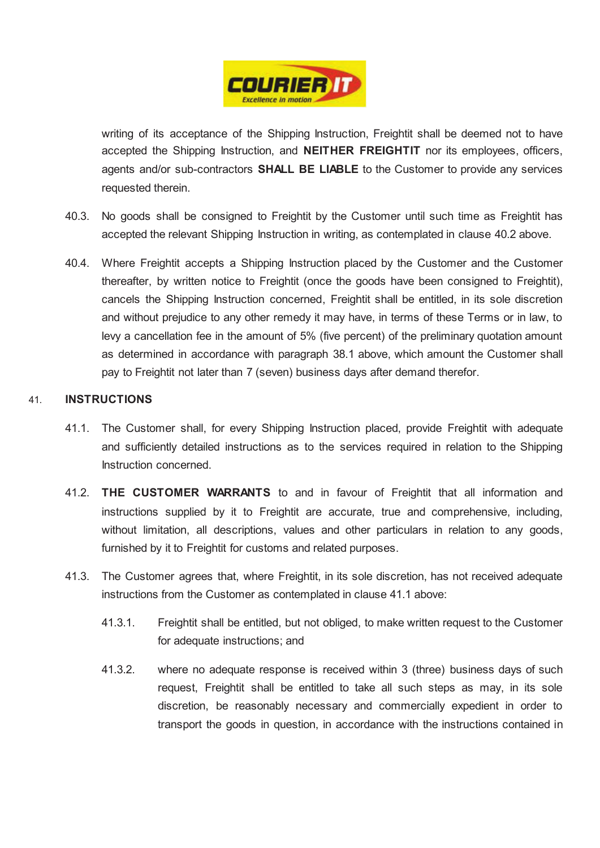

writing of its acceptance of the Shipping Instruction, Freightit shall be deemed not to have accepted the Shipping Instruction, and **NEITHER FREIGHTIT** nor its employees, officers, agents and/or sub-contractors **SHALL BE LIABLE** to the Customer to provide any services requested therein.

- 40.3. No goods shall be consigned to Freightit by the Customer until such time as Freightit has accepted the relevant Shipping Instruction in writing, as contemplated in clause 40.2 above.
- 40.4. Where Freightit accepts a Shipping Instruction placed by the Customer and the Customer thereafter, by written notice to Freightit (once the goods have been consigned to Freightit), cancels the Shipping Instruction concerned, Freightit shall be entitled, in its sole discretion and without prejudice to any other remedy it may have, in terms of these Terms or in law, to levy a cancellation fee in the amount of 5% (five percent) of the preliminary quotation amount as determined in accordance with paragraph 38.1 above, which amount the Customer shall pay to Freightit not later than 7 (seven) business days after demand therefor.

# 41. **INSTRUCTIONS**

- 41.1. The Customer shall, for every Shipping Instruction placed, provide Freightit with adequate and sufficiently detailed instructions as to the services required in relation to the Shipping Instruction concerned.
- 41.2. **THE CUSTOMER WARRANTS** to and in favour of Freightit that all information and instructions supplied by it to Freightit are accurate, true and comprehensive, including, without limitation, all descriptions, values and other particulars in relation to any goods, furnished by it to Freightit for customs and related purposes.
- 41.3. The Customer agrees that, where Freightit, in its sole discretion, has not received adequate instructions from the Customer as contemplated in clause 41.1 above:
	- 41.3.1. Freightit shall be entitled, but not obliged, to make written request to the Customer for adequate instructions; and
	- 41.3.2. where no adequate response is received within 3 (three) business days of such request, Freightit shall be entitled to take all such steps as may, in its sole discretion, be reasonably necessary and commercially expedient in order to transport the goods in question, in accordance with the instructions contained in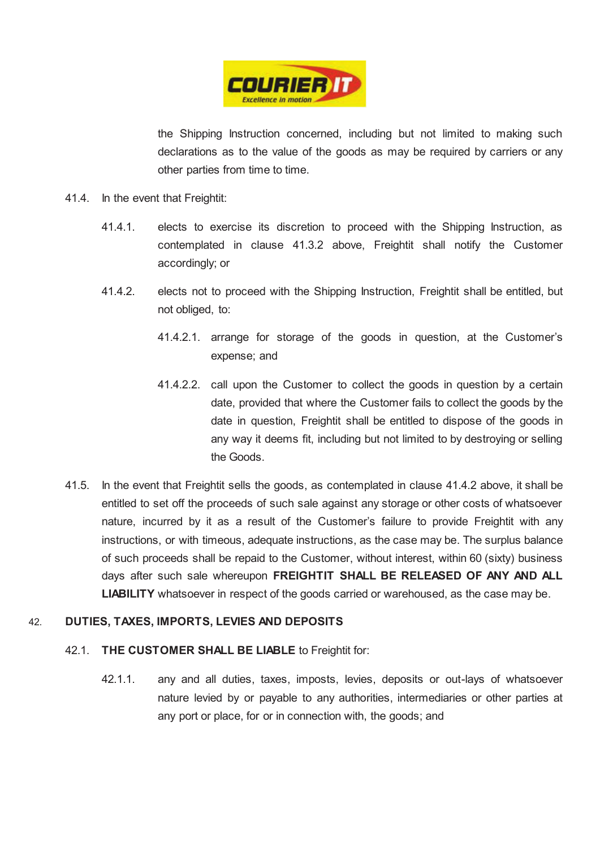

the Shipping Instruction concerned, including but not limited to making such declarations as to the value of the goods as may be required by carriers or any other parties from time to time.

- 41.4. In the event that Freightit:
	- 41.4.1. elects to exercise its discretion to proceed with the Shipping Instruction, as contemplated in clause 41.3.2 above, Freightit shall notify the Customer accordingly; or
	- 41.4.2. elects not to proceed with the Shipping Instruction, Freightit shall be entitled, but not obliged, to:
		- 41.4.2.1. arrange for storage of the goods in question, at the Customer's expense; and
		- 41.4.2.2. call upon the Customer to collect the goods in question by a certain date, provided that where the Customer fails to collect the goods by the date in question, Freightit shall be entitled to dispose of the goods in any way it deems fit, including but not limited to by destroying or selling the Goods.
- 41.5. In the event that Freightit sells the goods, as contemplated in clause 41.4.2 above, it shall be entitled to set off the proceeds of such sale against any storage or other costs of whatsoever nature, incurred by it as a result of the Customer's failure to provide Freightit with any instructions, or with timeous, adequate instructions, as the case may be. The surplus balance of such proceeds shall be repaid to the Customer, without interest, within 60 (sixty) business days after such sale whereupon **FREIGHTIT SHALL BE RELEASED OF ANY AND ALL LIABILITY** whatsoever in respect of the goods carried or warehoused, as the case may be.

# 42. **DUTIES, TAXES, IMPORTS, LEVIES AND DEPOSITS**

# 42.1. **THE CUSTOMER SHALL BE LIABLE** to Freightit for:

42.1.1. any and all duties, taxes, imposts, levies, deposits or out-lays of whatsoever nature levied by or payable to any authorities, intermediaries or other parties at any port or place, for or in connection with, the goods; and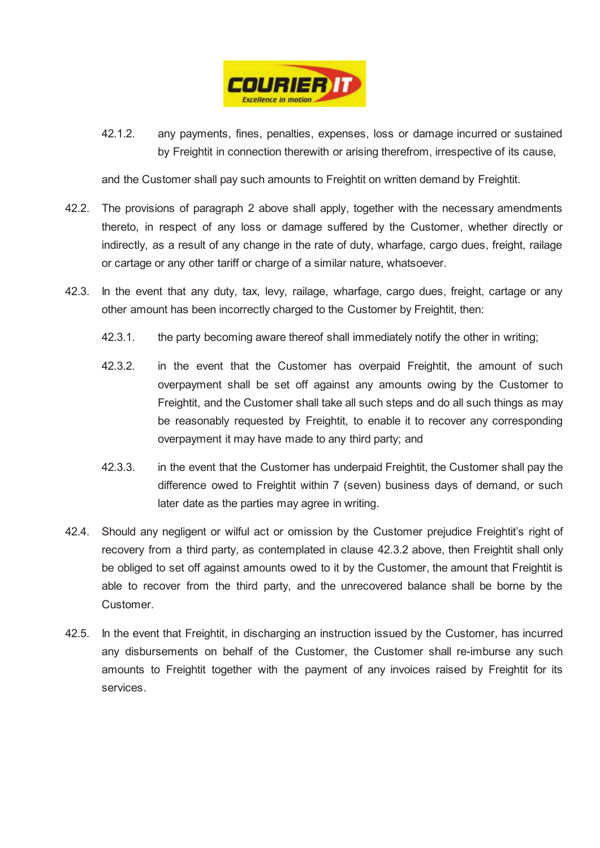

42.1.2. any payments, fines, penalties, expenses, loss or damage incurred or sustained by Freightit in connection therewith or arising therefrom, irrespective of its cause,

and the Customer shall pay such amounts to Freightit on written demand by Freightit.

- 42.2. The provisions of paragraph 2 above shall apply, together with the necessary amendments thereto, in respect of any loss or damage suffered by the Customer, whether directly or indirectly, as a result of any change in the rate of duty, wharfage, cargo dues, freight, railage or cartage or any other tariff or charge of a similar nature, whatsoever.
- 42.3. In the event that any duty, tax, levy, railage, wharfage, cargo dues, freight, cartage or any other amount has been incorrectly charged to the Customer by Freightit, then:
	- 42.3.1. the party becoming aware thereof shall immediately notify the other in writing;
	- 42.3.2. in the event that the Customer has overpaid Freightit, the amount of such overpayment shall be set off against any amounts owing by the Customer to Freightit, and the Customer shall take all such steps and do all such things as may be reasonably requested by Freightit, to enable it to recover any corresponding overpayment it may have made to any third party; and
	- 42.3.3. in the event that the Customer has underpaid Freightit, the Customer shall pay the difference owed to Freightit within 7 (seven) business days of demand, or such later date as the parties may agree in writing.
- 42.4. Should any negligent or wilful act or omission by the Customer prejudice Freightit's right of recovery from a third party, as contemplated in clause 42.3.2 above, then Freightit shall only be obliged to set off against amounts owed to it by the Customer, the amount that Freightit is able to recover from the third party, and the unrecovered balance shall be borne by the Customer.
- 42.5. In the event that Freightit, in discharging an instruction issued by the Customer, has incurred any disbursements on behalf of the Customer, the Customer shall re-imburse any such amounts to Freightit together with the payment of any invoices raised by Freightit for its services.